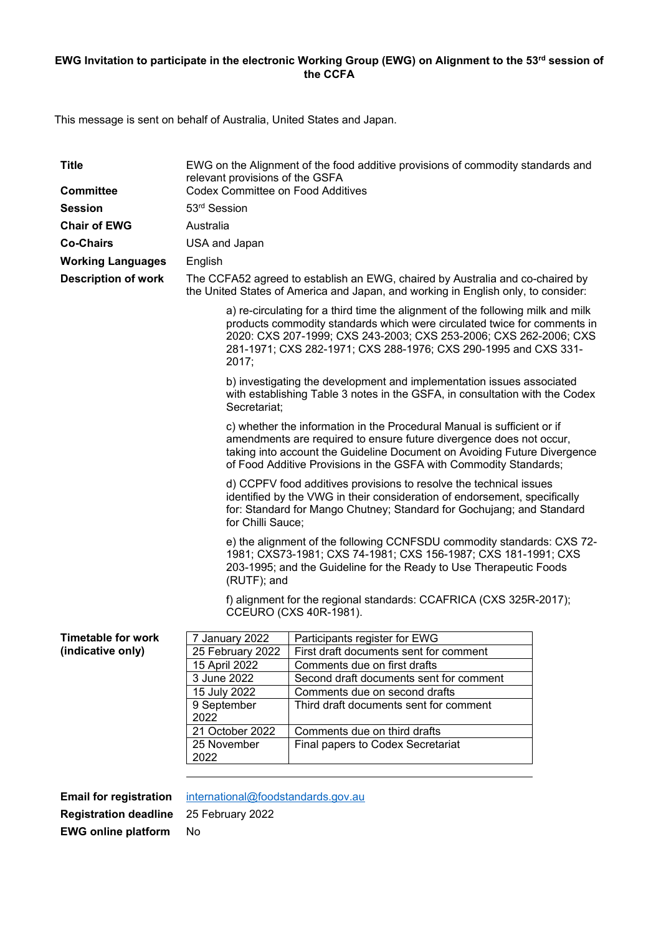## **EWG Invitation to participate in the electronic Working Group (EWG) on Alignment to the 53rd session of the CCFA**

This message is sent on behalf of Australia, United States and Japan.

| <b>Title</b>               | EWG on the Alignment of the food additive provisions of commodity standards and<br>relevant provisions of the GSFA                                                                                                                                                                                           |                                                           |  |
|----------------------------|--------------------------------------------------------------------------------------------------------------------------------------------------------------------------------------------------------------------------------------------------------------------------------------------------------------|-----------------------------------------------------------|--|
| <b>Committee</b>           | <b>Codex Committee on Food Additives</b>                                                                                                                                                                                                                                                                     |                                                           |  |
| <b>Session</b>             | 53rd Session                                                                                                                                                                                                                                                                                                 |                                                           |  |
| <b>Chair of EWG</b>        | Australia                                                                                                                                                                                                                                                                                                    |                                                           |  |
| <b>Co-Chairs</b>           | USA and Japan                                                                                                                                                                                                                                                                                                |                                                           |  |
| <b>Working Languages</b>   | English                                                                                                                                                                                                                                                                                                      |                                                           |  |
| <b>Description of work</b> | The CCFA52 agreed to establish an EWG, chaired by Australia and co-chaired by                                                                                                                                                                                                                                |                                                           |  |
|                            | the United States of America and Japan, and working in English only, to consider:                                                                                                                                                                                                                            |                                                           |  |
|                            | a) re-circulating for a third time the alignment of the following milk and milk<br>products commodity standards which were circulated twice for comments in<br>2020: CXS 207-1999; CXS 243-2003; CXS 253-2006; CXS 262-2006; CXS<br>281-1971; CXS 282-1971; CXS 288-1976; CXS 290-1995 and CXS 331-<br>2017; |                                                           |  |
|                            | b) investigating the development and implementation issues associated<br>with establishing Table 3 notes in the GSFA, in consultation with the Codex<br>Secretariat;                                                                                                                                         |                                                           |  |
|                            | c) whether the information in the Procedural Manual is sufficient or if<br>amendments are required to ensure future divergence does not occur,<br>taking into account the Guideline Document on Avoiding Future Divergence<br>of Food Additive Provisions in the GSFA with Commodity Standards;              |                                                           |  |
|                            | d) CCPFV food additives provisions to resolve the technical issues<br>identified by the VWG in their consideration of endorsement, specifically<br>for: Standard for Mango Chutney; Standard for Gochujang; and Standard<br>for Chilli Sauce;                                                                |                                                           |  |
|                            | e) the alignment of the following CCNFSDU commodity standards: CXS 72-<br>1981; CXS73-1981; CXS 74-1981; CXS 156-1987; CXS 181-1991; CXS<br>203-1995; and the Guideline for the Ready to Use Therapeutic Foods<br>(RUTF); and                                                                                |                                                           |  |
|                            | f) alignment for the regional standards: CCAFRICA (CXS 325R-2017);<br>CCEURO (CXS 40R-1981).                                                                                                                                                                                                                 |                                                           |  |
| <b>Timetable for work</b>  | 7 January 2022                                                                                                                                                                                                                                                                                               | Participants register for EWG                             |  |
| (indicative only)          |                                                                                                                                                                                                                                                                                                              | 25 February 2022   First draft documents sent for comment |  |
|                            | 15 April 2022                                                                                                                                                                                                                                                                                                | Comments due on first drafts                              |  |
|                            | 3 June 2022                                                                                                                                                                                                                                                                                                  | Second draft documents sent for comment                   |  |
|                            | 15 July 2022                                                                                                                                                                                                                                                                                                 | Comments due on second drafts                             |  |
|                            | 9 September                                                                                                                                                                                                                                                                                                  | Third draft documents sent for comment                    |  |
|                            | 2022                                                                                                                                                                                                                                                                                                         |                                                           |  |
|                            | 21 October 2022                                                                                                                                                                                                                                                                                              | Comments due on third drafts                              |  |
|                            | 25 November<br>2022                                                                                                                                                                                                                                                                                          | Final papers to Codex Secretariat                         |  |
|                            |                                                                                                                                                                                                                                                                                                              |                                                           |  |

**Registration deadline** 25 February 2022 **EWG online platform** No

**Email for registration** international@foodstandards.gov.au